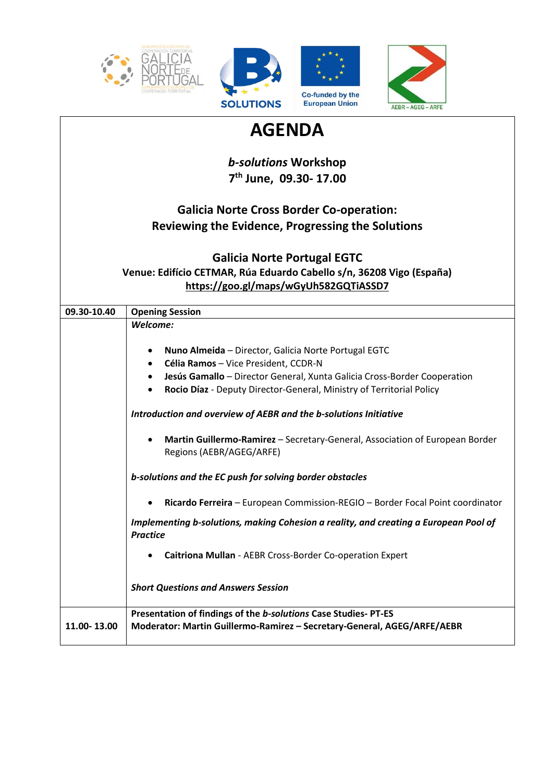

 $\mathsf{l}$ 





| <b>AGENDA</b> |                                                                                                                                                                                                                                                                                                                                             |
|---------------|---------------------------------------------------------------------------------------------------------------------------------------------------------------------------------------------------------------------------------------------------------------------------------------------------------------------------------------------|
|               | <b>b-solutions Workshop</b>                                                                                                                                                                                                                                                                                                                 |
|               | 7 <sup>th</sup> June, 09.30-17.00                                                                                                                                                                                                                                                                                                           |
|               | <b>Galicia Norte Cross Border Co-operation:</b>                                                                                                                                                                                                                                                                                             |
|               | Reviewing the Evidence, Progressing the Solutions                                                                                                                                                                                                                                                                                           |
|               | <b>Galicia Norte Portugal EGTC</b>                                                                                                                                                                                                                                                                                                          |
|               | Venue: Edifício CETMAR, Rúa Eduardo Cabello s/n, 36208 Vigo (España)<br>https://goo.gl/maps/wGyUh582GQTiASSD7                                                                                                                                                                                                                               |
|               |                                                                                                                                                                                                                                                                                                                                             |
| 09.30-10.40   | <b>Opening Session</b><br>Welcome:                                                                                                                                                                                                                                                                                                          |
|               | Nuno Almeida - Director, Galicia Norte Portugal EGTC<br>٠<br>Célia Ramos - Vice President, CCDR-N<br>٠<br>Jesús Gamallo - Director General, Xunta Galicia Cross-Border Cooperation<br>Rocio Díaz - Deputy Director-General, Ministry of Territorial Policy<br>$\bullet$<br>Introduction and overview of AEBR and the b-solutions Initiative |
|               | Martin Guillermo-Ramirez - Secretary-General, Association of European Border<br>Regions (AEBR/AGEG/ARFE)                                                                                                                                                                                                                                    |
|               | b-solutions and the EC push for solving border obstacles                                                                                                                                                                                                                                                                                    |
|               | Ricardo Ferreira - European Commission-REGIO - Border Focal Point coordinator                                                                                                                                                                                                                                                               |
|               | Implementing b-solutions, making Cohesion a reality, and creating a European Pool of<br><b>Practice</b>                                                                                                                                                                                                                                     |
|               | Caitriona Mullan - AEBR Cross-Border Co-operation Expert                                                                                                                                                                                                                                                                                    |
|               | <b>Short Questions and Answers Session</b>                                                                                                                                                                                                                                                                                                  |
| 11.00-13.00   | Presentation of findings of the b-solutions Case Studies-PT-ES<br>Moderator: Martin Guillermo-Ramirez - Secretary-General, AGEG/ARFE/AEBR                                                                                                                                                                                                   |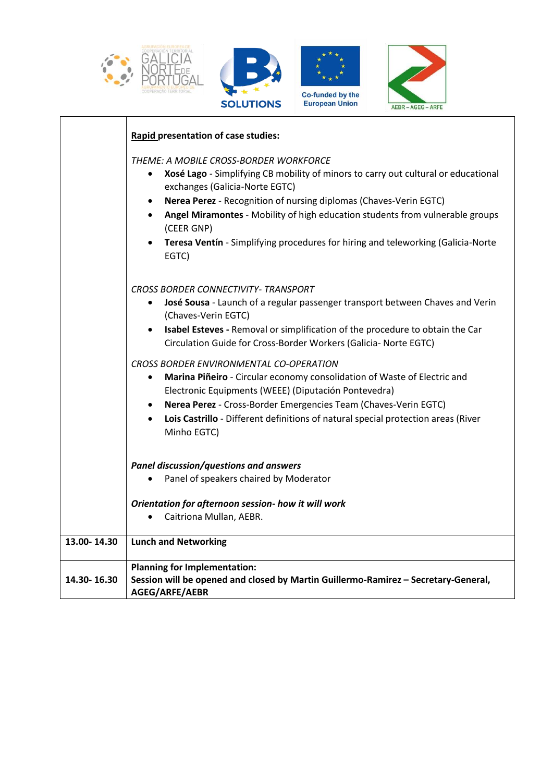

|             | Rapid presentation of case studies:                                                                                                                                                                                                                                                                                                                                                                                                          |
|-------------|----------------------------------------------------------------------------------------------------------------------------------------------------------------------------------------------------------------------------------------------------------------------------------------------------------------------------------------------------------------------------------------------------------------------------------------------|
|             | THEME: A MOBILE CROSS-BORDER WORKFORCE<br>Xosé Lago - Simplifying CB mobility of minors to carry out cultural or educational<br>$\bullet$<br>exchanges (Galicia-Norte EGTC)<br>Nerea Perez - Recognition of nursing diplomas (Chaves-Verin EGTC)<br>Angel Miramontes - Mobility of high education students from vulnerable groups<br>(CEER GNP)<br>Teresa Ventín - Simplifying procedures for hiring and teleworking (Galicia-Norte<br>EGTC) |
|             | <b>CROSS BORDER CONNECTIVITY- TRANSPORT</b><br>José Sousa - Launch of a regular passenger transport between Chaves and Verin<br>(Chaves-Verin EGTC)<br>Isabel Esteves - Removal or simplification of the procedure to obtain the Car<br>Circulation Guide for Cross-Border Workers (Galicia- Norte EGTC)                                                                                                                                     |
|             | <b>CROSS BORDER ENVIRONMENTAL CO-OPERATION</b><br>Marina Piñeiro - Circular economy consolidation of Waste of Electric and<br>Electronic Equipments (WEEE) (Diputación Pontevedra)<br>Nerea Perez - Cross-Border Emergencies Team (Chaves-Verin EGTC)<br>Lois Castrillo - Different definitions of natural special protection areas (River<br>Minho EGTC)                                                                                    |
|             | Panel discussion/questions and answers<br>Panel of speakers chaired by Moderator<br>Orientation for afternoon session- how it will work<br>Caitriona Mullan, AEBR.                                                                                                                                                                                                                                                                           |
| 13.00-14.30 | <b>Lunch and Networking</b>                                                                                                                                                                                                                                                                                                                                                                                                                  |
| 14.30-16.30 | <b>Planning for Implementation:</b><br>Session will be opened and closed by Martin Guillermo-Ramirez - Secretary-General,<br>AGEG/ARFE/AEBR                                                                                                                                                                                                                                                                                                  |